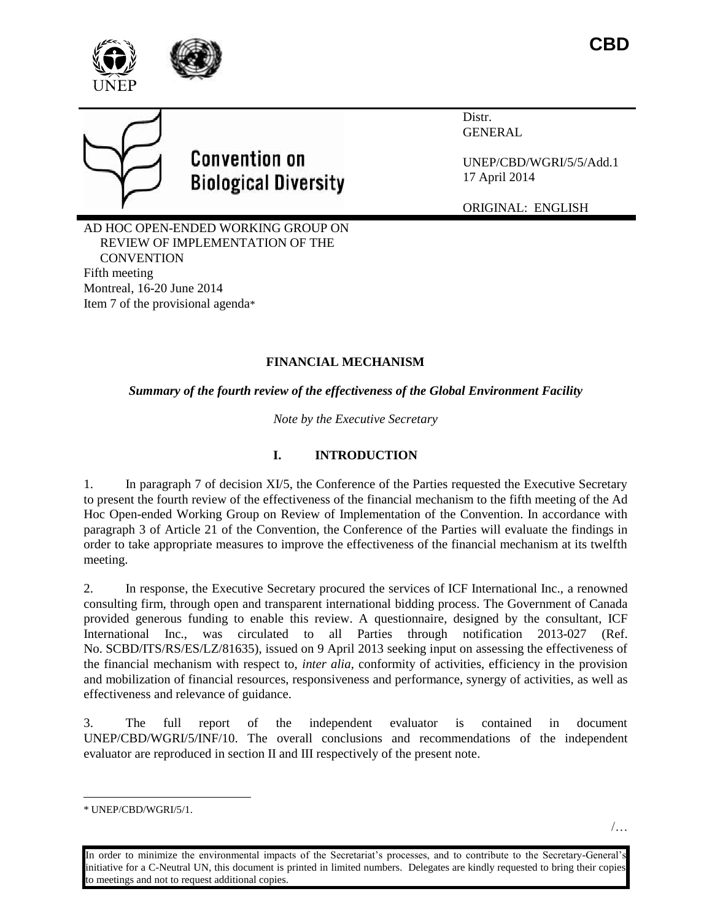





# **Convention on Biological Diversity**

Distr. GENERAL

UNEP/CBD/WGRI/5/5/Add.1 17 April 2014

ORIGINAL: ENGLISH

AD HOC OPEN-ENDED WORKING GROUP ON REVIEW OF IMPLEMENTATION OF THE **CONVENTION** Fifth meeting Montreal, 16-20 June 2014 Item 7 of the provisional agenda\*

## **FINANCIAL MECHANISM**

*Summary of the fourth review of the effectiveness of the Global Environment Facility*

*Note by the Executive Secretary*

## **I. INTRODUCTION**

1. In paragraph 7 of decision XI/5, the Conference of the Parties requested the Executive Secretary to present the fourth review of the effectiveness of the financial mechanism to the fifth meeting of the Ad Hoc Open-ended Working Group on Review of Implementation of the Convention. In accordance with paragraph 3 of Article 21 of the Convention, the Conference of the Parties will evaluate the findings in order to take appropriate measures to improve the effectiveness of the financial mechanism at its twelfth meeting.

2. In response, the Executive Secretary procured the services of ICF International Inc., a renowned consulting firm, through open and transparent international bidding process. The Government of Canada provided generous funding to enable this review. A questionnaire, designed by the consultant, ICF International Inc., was circulated to all Parties through notification 2013-027 (Ref. No. SCBD/ITS/RS/ES/LZ/81635), issued on 9 April 2013 seeking input on assessing the effectiveness of the financial mechanism with respect to, *inter alia*, conformity of activities, efficiency in the provision and mobilization of financial resources, responsiveness and performance, synergy of activities, as well as effectiveness and relevance of guidance.

3. The full report of the independent evaluator is contained in document UNEP/CBD/WGRI/5/INF/10. The overall conclusions and recommendations of the independent evaluator are reproduced in section II and III respectively of the present note.

l

<sup>\*</sup> UNEP/CBD/WGRI/5/1.

In order to minimize the environmental impacts of the Secretariat's processes, and to contribute to the Secretary-General's initiative for a C-Neutral UN, this document is printed in limited numbers. Delegates are kindly requested to bring their copies to meetings and not to request additional copies.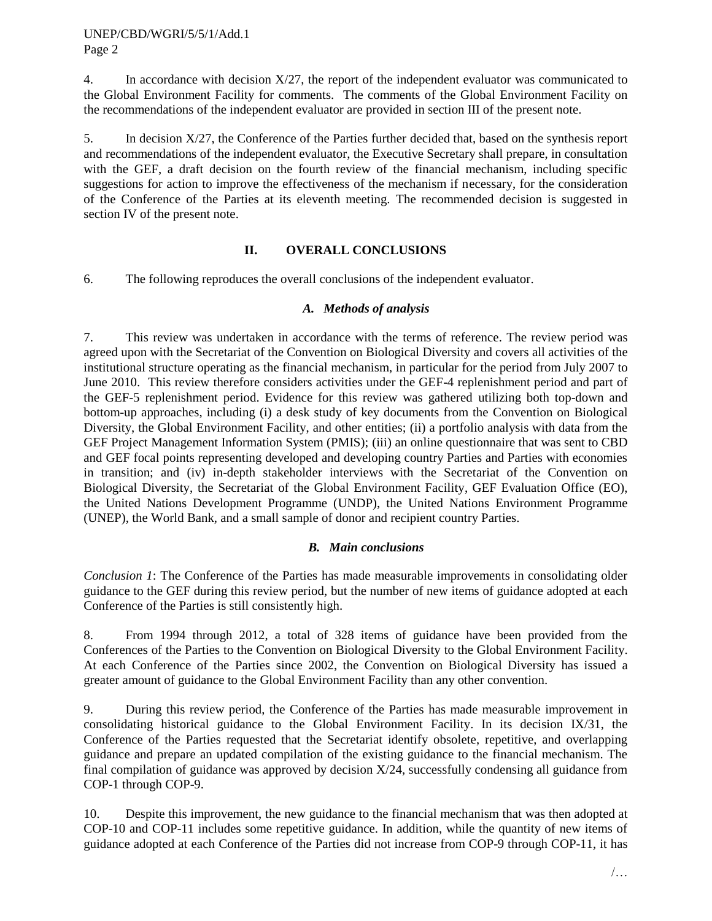4. In accordance with decision X/27, the report of the independent evaluator was communicated to the Global Environment Facility for comments. The comments of the Global Environment Facility on the recommendations of the independent evaluator are provided in section III of the present note.

5. In decision X/27, the Conference of the Parties further decided that, based on the synthesis report and recommendations of the independent evaluator, the Executive Secretary shall prepare, in consultation with the GEF, a draft decision on the fourth review of the financial mechanism, including specific suggestions for action to improve the effectiveness of the mechanism if necessary, for the consideration of the Conference of the Parties at its eleventh meeting. The recommended decision is suggested in section IV of the present note.

## **II. OVERALL CONCLUSIONS**

6. The following reproduces the overall conclusions of the independent evaluator.

#### *A. Methods of analysis*

7. This review was undertaken in accordance with the terms of reference. The review period was agreed upon with the Secretariat of the Convention on Biological Diversity and covers all activities of the institutional structure operating as the financial mechanism, in particular for the period from July 2007 to June 2010. This review therefore considers activities under the GEF-4 replenishment period and part of the GEF-5 replenishment period. Evidence for this review was gathered utilizing both top-down and bottom-up approaches, including (i) a desk study of key documents from the Convention on Biological Diversity, the Global Environment Facility, and other entities; (ii) a portfolio analysis with data from the GEF Project Management Information System (PMIS); (iii) an online questionnaire that was sent to CBD and GEF focal points representing developed and developing country Parties and Parties with economies in transition; and (iv) in-depth stakeholder interviews with the Secretariat of the Convention on Biological Diversity, the Secretariat of the Global Environment Facility, GEF Evaluation Office (EO), the United Nations Development Programme (UNDP), the United Nations Environment Programme (UNEP), the World Bank, and a small sample of donor and recipient country Parties.

## *B. Main conclusions*

*Conclusion 1*: The Conference of the Parties has made measurable improvements in consolidating older guidance to the GEF during this review period, but the number of new items of guidance adopted at each Conference of the Parties is still consistently high.

8. From 1994 through 2012, a total of 328 items of guidance have been provided from the Conferences of the Parties to the Convention on Biological Diversity to the Global Environment Facility. At each Conference of the Parties since 2002, the Convention on Biological Diversity has issued a greater amount of guidance to the Global Environment Facility than any other convention.

9. During this review period, the Conference of the Parties has made measurable improvement in consolidating historical guidance to the Global Environment Facility. In its decision IX/31, the Conference of the Parties requested that the Secretariat identify obsolete, repetitive, and overlapping guidance and prepare an updated compilation of the existing guidance to the financial mechanism. The final compilation of guidance was approved by decision X/24, successfully condensing all guidance from COP-1 through COP-9.

10. Despite this improvement, the new guidance to the financial mechanism that was then adopted at COP-10 and COP-11 includes some repetitive guidance. In addition, while the quantity of new items of guidance adopted at each Conference of the Parties did not increase from COP-9 through COP-11, it has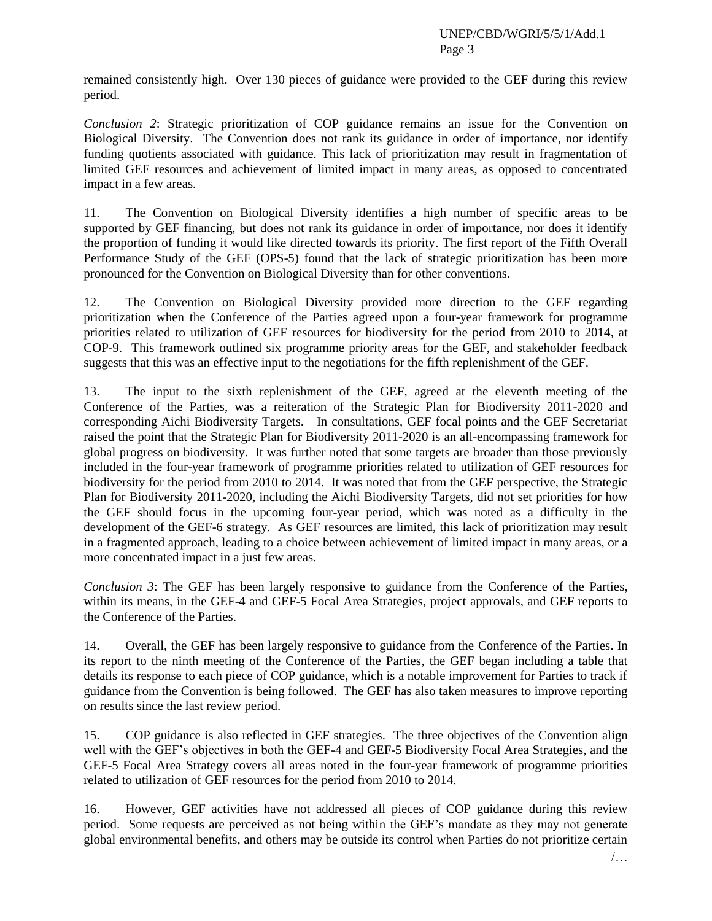remained consistently high. Over 130 pieces of guidance were provided to the GEF during this review period.

*Conclusion 2*: Strategic prioritization of COP guidance remains an issue for the Convention on Biological Diversity. The Convention does not rank its guidance in order of importance, nor identify funding quotients associated with guidance. This lack of prioritization may result in fragmentation of limited GEF resources and achievement of limited impact in many areas, as opposed to concentrated impact in a few areas.

11. The Convention on Biological Diversity identifies a high number of specific areas to be supported by GEF financing, but does not rank its guidance in order of importance, nor does it identify the proportion of funding it would like directed towards its priority. The first report of the Fifth Overall Performance Study of the GEF (OPS-5) found that the lack of strategic prioritization has been more pronounced for the Convention on Biological Diversity than for other conventions.

12. The Convention on Biological Diversity provided more direction to the GEF regarding prioritization when the Conference of the Parties agreed upon a four-year framework for programme priorities related to utilization of GEF resources for biodiversity for the period from 2010 to 2014, at COP-9. This framework outlined six programme priority areas for the GEF, and stakeholder feedback suggests that this was an effective input to the negotiations for the fifth replenishment of the GEF.

13. The input to the sixth replenishment of the GEF, agreed at the eleventh meeting of the Conference of the Parties, was a reiteration of the Strategic Plan for Biodiversity 2011-2020 and corresponding Aichi Biodiversity Targets. In consultations, GEF focal points and the GEF Secretariat raised the point that the Strategic Plan for Biodiversity 2011-2020 is an all-encompassing framework for global progress on biodiversity. It was further noted that some targets are broader than those previously included in the four-year framework of programme priorities related to utilization of GEF resources for biodiversity for the period from 2010 to 2014. It was noted that from the GEF perspective, the Strategic Plan for Biodiversity 2011-2020, including the Aichi Biodiversity Targets, did not set priorities for how the GEF should focus in the upcoming four-year period, which was noted as a difficulty in the development of the GEF-6 strategy. As GEF resources are limited, this lack of prioritization may result in a fragmented approach, leading to a choice between achievement of limited impact in many areas, or a more concentrated impact in a just few areas.

*Conclusion 3*: The GEF has been largely responsive to guidance from the Conference of the Parties, within its means, in the GEF-4 and GEF-5 Focal Area Strategies, project approvals, and GEF reports to the Conference of the Parties.

14. Overall, the GEF has been largely responsive to guidance from the Conference of the Parties. In its report to the ninth meeting of the Conference of the Parties, the GEF began including a table that details its response to each piece of COP guidance, which is a notable improvement for Parties to track if guidance from the Convention is being followed. The GEF has also taken measures to improve reporting on results since the last review period.

15. COP guidance is also reflected in GEF strategies. The three objectives of the Convention align well with the GEF's objectives in both the GEF-4 and GEF-5 Biodiversity Focal Area Strategies, and the GEF-5 Focal Area Strategy covers all areas noted in the four-year framework of programme priorities related to utilization of GEF resources for the period from 2010 to 2014.

16. However, GEF activities have not addressed all pieces of COP guidance during this review period. Some requests are perceived as not being within the GEF's mandate as they may not generate global environmental benefits, and others may be outside its control when Parties do not prioritize certain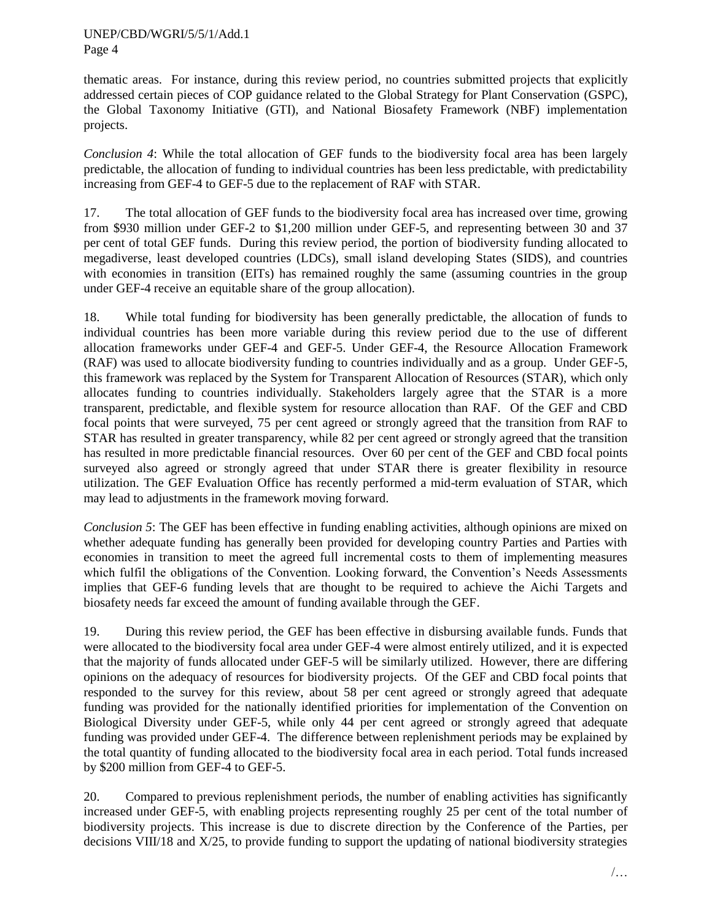thematic areas. For instance, during this review period, no countries submitted projects that explicitly addressed certain pieces of COP guidance related to the Global Strategy for Plant Conservation (GSPC), the Global Taxonomy Initiative (GTI), and National Biosafety Framework (NBF) implementation projects.

*Conclusion 4*: While the total allocation of GEF funds to the biodiversity focal area has been largely predictable, the allocation of funding to individual countries has been less predictable, with predictability increasing from GEF-4 to GEF-5 due to the replacement of RAF with STAR.

17. The total allocation of GEF funds to the biodiversity focal area has increased over time, growing from \$930 million under GEF-2 to \$1,200 million under GEF-5, and representing between 30 and 37 per cent of total GEF funds. During this review period, the portion of biodiversity funding allocated to megadiverse, least developed countries (LDCs), small island developing States (SIDS), and countries with economies in transition (EITs) has remained roughly the same (assuming countries in the group under GEF-4 receive an equitable share of the group allocation).

18. While total funding for biodiversity has been generally predictable, the allocation of funds to individual countries has been more variable during this review period due to the use of different allocation frameworks under GEF-4 and GEF-5. Under GEF-4, the Resource Allocation Framework (RAF) was used to allocate biodiversity funding to countries individually and as a group. Under GEF-5, this framework was replaced by the System for Transparent Allocation of Resources (STAR), which only allocates funding to countries individually. Stakeholders largely agree that the STAR is a more transparent, predictable, and flexible system for resource allocation than RAF. Of the GEF and CBD focal points that were surveyed, 75 per cent agreed or strongly agreed that the transition from RAF to STAR has resulted in greater transparency, while 82 per cent agreed or strongly agreed that the transition has resulted in more predictable financial resources. Over 60 per cent of the GEF and CBD focal points surveyed also agreed or strongly agreed that under STAR there is greater flexibility in resource utilization. The GEF Evaluation Office has recently performed a mid-term evaluation of STAR, which may lead to adjustments in the framework moving forward.

*Conclusion 5*: The GEF has been effective in funding enabling activities, although opinions are mixed on whether adequate funding has generally been provided for developing country Parties and Parties with economies in transition to meet the agreed full incremental costs to them of implementing measures which fulfil the obligations of the Convention. Looking forward, the Convention's Needs Assessments implies that GEF-6 funding levels that are thought to be required to achieve the Aichi Targets and biosafety needs far exceed the amount of funding available through the GEF.

19. During this review period, the GEF has been effective in disbursing available funds. Funds that were allocated to the biodiversity focal area under GEF-4 were almost entirely utilized, and it is expected that the majority of funds allocated under GEF-5 will be similarly utilized. However, there are differing opinions on the adequacy of resources for biodiversity projects. Of the GEF and CBD focal points that responded to the survey for this review, about 58 per cent agreed or strongly agreed that adequate funding was provided for the nationally identified priorities for implementation of the Convention on Biological Diversity under GEF-5, while only 44 per cent agreed or strongly agreed that adequate funding was provided under GEF-4. The difference between replenishment periods may be explained by the total quantity of funding allocated to the biodiversity focal area in each period. Total funds increased by \$200 million from GEF-4 to GEF-5.

20. Compared to previous replenishment periods, the number of enabling activities has significantly increased under GEF-5, with enabling projects representing roughly 25 per cent of the total number of biodiversity projects. This increase is due to discrete direction by the Conference of the Parties, per decisions VIII/18 and X/25, to provide funding to support the updating of national biodiversity strategies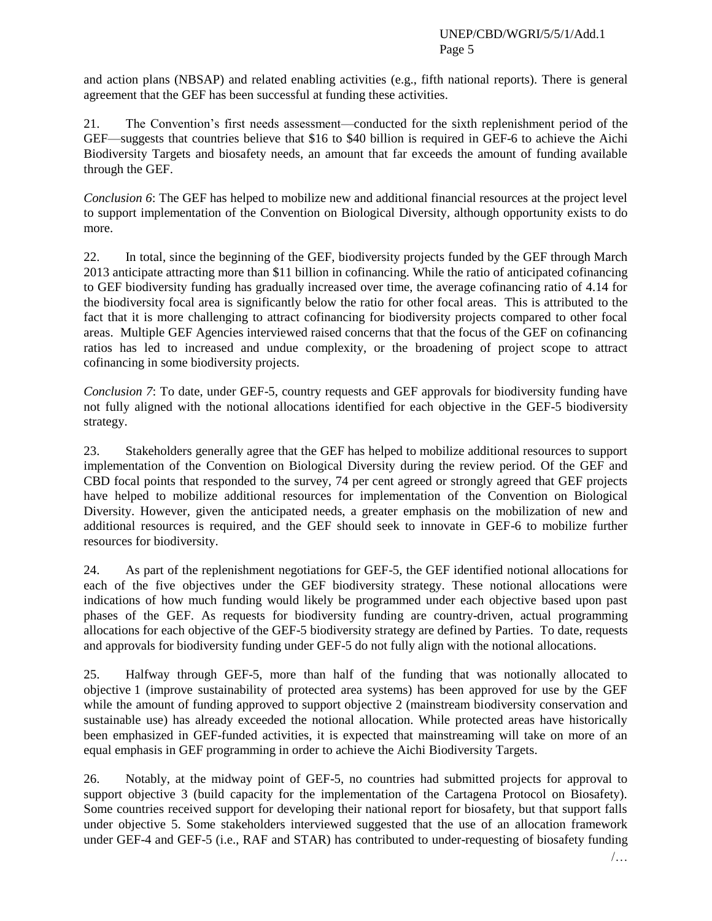and action plans (NBSAP) and related enabling activities (e.g., fifth national reports). There is general agreement that the GEF has been successful at funding these activities.

21. The Convention's first needs assessment—conducted for the sixth replenishment period of the GEF—suggests that countries believe that \$16 to \$40 billion is required in GEF-6 to achieve the Aichi Biodiversity Targets and biosafety needs, an amount that far exceeds the amount of funding available through the GEF.

*Conclusion 6*: The GEF has helped to mobilize new and additional financial resources at the project level to support implementation of the Convention on Biological Diversity, although opportunity exists to do more.

22. In total, since the beginning of the GEF, biodiversity projects funded by the GEF through March 2013 anticipate attracting more than \$11 billion in cofinancing. While the ratio of anticipated cofinancing to GEF biodiversity funding has gradually increased over time, the average cofinancing ratio of 4.14 for the biodiversity focal area is significantly below the ratio for other focal areas. This is attributed to the fact that it is more challenging to attract cofinancing for biodiversity projects compared to other focal areas. Multiple GEF Agencies interviewed raised concerns that that the focus of the GEF on cofinancing ratios has led to increased and undue complexity, or the broadening of project scope to attract cofinancing in some biodiversity projects.

*Conclusion 7*: To date, under GEF-5, country requests and GEF approvals for biodiversity funding have not fully aligned with the notional allocations identified for each objective in the GEF-5 biodiversity strategy.

23. Stakeholders generally agree that the GEF has helped to mobilize additional resources to support implementation of the Convention on Biological Diversity during the review period. Of the GEF and CBD focal points that responded to the survey, 74 per cent agreed or strongly agreed that GEF projects have helped to mobilize additional resources for implementation of the Convention on Biological Diversity. However, given the anticipated needs, a greater emphasis on the mobilization of new and additional resources is required, and the GEF should seek to innovate in GEF-6 to mobilize further resources for biodiversity.

24. As part of the replenishment negotiations for GEF-5, the GEF identified notional allocations for each of the five objectives under the GEF biodiversity strategy. These notional allocations were indications of how much funding would likely be programmed under each objective based upon past phases of the GEF. As requests for biodiversity funding are country-driven, actual programming allocations for each objective of the GEF-5 biodiversity strategy are defined by Parties. To date, requests and approvals for biodiversity funding under GEF-5 do not fully align with the notional allocations.

25. Halfway through GEF-5, more than half of the funding that was notionally allocated to objective 1 (improve sustainability of protected area systems) has been approved for use by the GEF while the amount of funding approved to support objective 2 (mainstream biodiversity conservation and sustainable use) has already exceeded the notional allocation. While protected areas have historically been emphasized in GEF-funded activities, it is expected that mainstreaming will take on more of an equal emphasis in GEF programming in order to achieve the Aichi Biodiversity Targets.

26. Notably, at the midway point of GEF-5, no countries had submitted projects for approval to support objective 3 (build capacity for the implementation of the Cartagena Protocol on Biosafety). Some countries received support for developing their national report for biosafety, but that support falls under objective 5. Some stakeholders interviewed suggested that the use of an allocation framework under GEF-4 and GEF-5 (i.e., RAF and STAR) has contributed to under-requesting of biosafety funding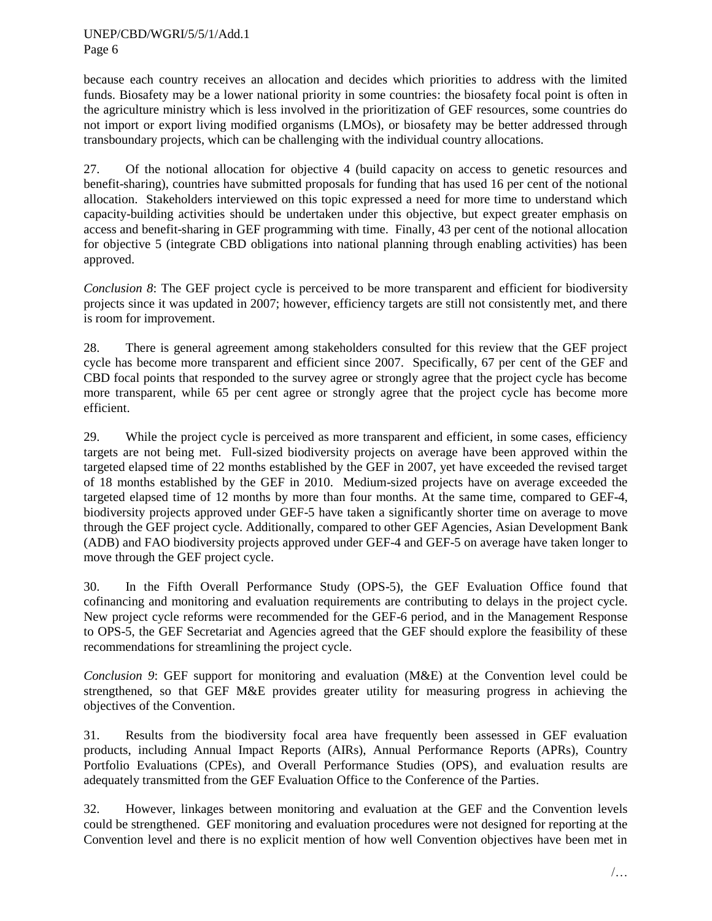because each country receives an allocation and decides which priorities to address with the limited funds. Biosafety may be a lower national priority in some countries: the biosafety focal point is often in the agriculture ministry which is less involved in the prioritization of GEF resources, some countries do not import or export living modified organisms (LMOs), or biosafety may be better addressed through transboundary projects, which can be challenging with the individual country allocations.

27. Of the notional allocation for objective 4 (build capacity on access to genetic resources and benefit-sharing), countries have submitted proposals for funding that has used 16 per cent of the notional allocation. Stakeholders interviewed on this topic expressed a need for more time to understand which capacity-building activities should be undertaken under this objective, but expect greater emphasis on access and benefit-sharing in GEF programming with time. Finally, 43 per cent of the notional allocation for objective 5 (integrate CBD obligations into national planning through enabling activities) has been approved.

*Conclusion 8*: The GEF project cycle is perceived to be more transparent and efficient for biodiversity projects since it was updated in 2007; however, efficiency targets are still not consistently met, and there is room for improvement.

28. There is general agreement among stakeholders consulted for this review that the GEF project cycle has become more transparent and efficient since 2007. Specifically, 67 per cent of the GEF and CBD focal points that responded to the survey agree or strongly agree that the project cycle has become more transparent, while 65 per cent agree or strongly agree that the project cycle has become more efficient.

29. While the project cycle is perceived as more transparent and efficient, in some cases, efficiency targets are not being met. Full-sized biodiversity projects on average have been approved within the targeted elapsed time of 22 months established by the GEF in 2007, yet have exceeded the revised target of 18 months established by the GEF in 2010. Medium-sized projects have on average exceeded the targeted elapsed time of 12 months by more than four months. At the same time, compared to GEF-4, biodiversity projects approved under GEF-5 have taken a significantly shorter time on average to move through the GEF project cycle. Additionally, compared to other GEF Agencies, Asian Development Bank (ADB) and FAO biodiversity projects approved under GEF-4 and GEF-5 on average have taken longer to move through the GEF project cycle.

30. In the Fifth Overall Performance Study (OPS-5), the GEF Evaluation Office found that cofinancing and monitoring and evaluation requirements are contributing to delays in the project cycle. New project cycle reforms were recommended for the GEF-6 period, and in the Management Response to OPS-5, the GEF Secretariat and Agencies agreed that the GEF should explore the feasibility of these recommendations for streamlining the project cycle.

*Conclusion 9*: GEF support for monitoring and evaluation (M&E) at the Convention level could be strengthened, so that GEF M&E provides greater utility for measuring progress in achieving the objectives of the Convention.

31. Results from the biodiversity focal area have frequently been assessed in GEF evaluation products, including Annual Impact Reports (AIRs), Annual Performance Reports (APRs), Country Portfolio Evaluations (CPEs), and Overall Performance Studies (OPS), and evaluation results are adequately transmitted from the GEF Evaluation Office to the Conference of the Parties.

32. However, linkages between monitoring and evaluation at the GEF and the Convention levels could be strengthened. GEF monitoring and evaluation procedures were not designed for reporting at the Convention level and there is no explicit mention of how well Convention objectives have been met in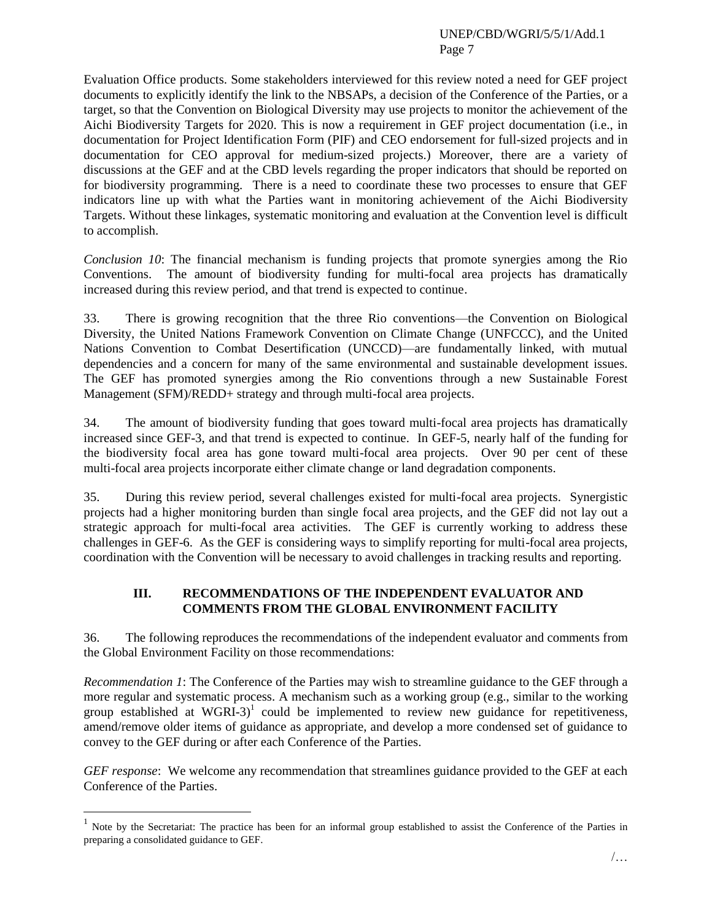Evaluation Office products. Some stakeholders interviewed for this review noted a need for GEF project documents to explicitly identify the link to the NBSAPs, a decision of the Conference of the Parties, or a target, so that the Convention on Biological Diversity may use projects to monitor the achievement of the Aichi Biodiversity Targets for 2020. This is now a requirement in GEF project documentation (i.e., in documentation for Project Identification Form (PIF) and CEO endorsement for full-sized projects and in documentation for CEO approval for medium-sized projects.) Moreover, there are a variety of discussions at the GEF and at the CBD levels regarding the proper indicators that should be reported on for biodiversity programming. There is a need to coordinate these two processes to ensure that GEF indicators line up with what the Parties want in monitoring achievement of the Aichi Biodiversity Targets. Without these linkages, systematic monitoring and evaluation at the Convention level is difficult to accomplish.

*Conclusion 10*: The financial mechanism is funding projects that promote synergies among the Rio Conventions. The amount of biodiversity funding for multi-focal area projects has dramatically increased during this review period, and that trend is expected to continue.

33. There is growing recognition that the three Rio conventions—the Convention on Biological Diversity, the United Nations Framework Convention on Climate Change (UNFCCC), and the United Nations Convention to Combat Desertification (UNCCD)—are fundamentally linked, with mutual dependencies and a concern for many of the same environmental and sustainable development issues. The GEF has promoted synergies among the Rio conventions through a new Sustainable Forest Management (SFM)/REDD+ strategy and through multi-focal area projects.

34. The amount of biodiversity funding that goes toward multi-focal area projects has dramatically increased since GEF-3, and that trend is expected to continue. In GEF-5, nearly half of the funding for the biodiversity focal area has gone toward multi-focal area projects. Over 90 per cent of these multi-focal area projects incorporate either climate change or land degradation components.

35. During this review period, several challenges existed for multi-focal area projects. Synergistic projects had a higher monitoring burden than single focal area projects, and the GEF did not lay out a strategic approach for multi-focal area activities. The GEF is currently working to address these challenges in GEF-6. As the GEF is considering ways to simplify reporting for multi-focal area projects, coordination with the Convention will be necessary to avoid challenges in tracking results and reporting.

#### **III. RECOMMENDATIONS OF THE INDEPENDENT EVALUATOR AND COMMENTS FROM THE GLOBAL ENVIRONMENT FACILITY**

36. The following reproduces the recommendations of the independent evaluator and comments from the Global Environment Facility on those recommendations:

*Recommendation 1*: The Conference of the Parties may wish to streamline guidance to the GEF through a more regular and systematic process. A mechanism such as a working group (e.g., similar to the working group established at WGRI-3 $)$ <sup>1</sup> could be implemented to review new guidance for repetitiveness, amend/remove older items of guidance as appropriate, and develop a more condensed set of guidance to convey to the GEF during or after each Conference of the Parties.

*GEF response*: We welcome any recommendation that streamlines guidance provided to the GEF at each Conference of the Parties.

 $\overline{a}$ 

<sup>1</sup> Note by the Secretariat: The practice has been for an informal group established to assist the Conference of the Parties in preparing a consolidated guidance to GEF.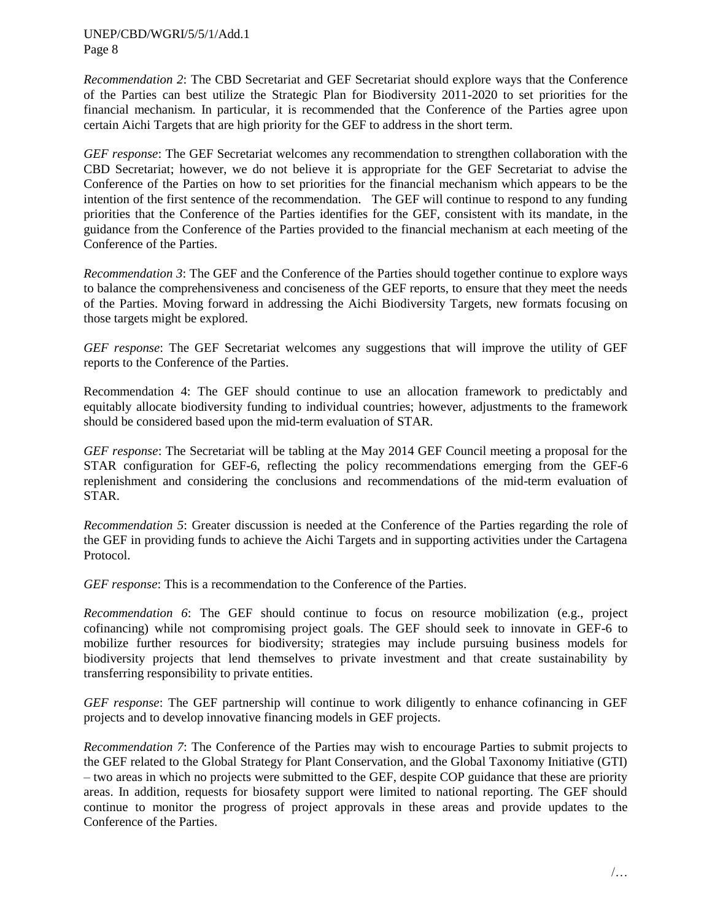*Recommendation 2*: The CBD Secretariat and GEF Secretariat should explore ways that the Conference of the Parties can best utilize the Strategic Plan for Biodiversity 2011-2020 to set priorities for the financial mechanism. In particular, it is recommended that the Conference of the Parties agree upon certain Aichi Targets that are high priority for the GEF to address in the short term.

*GEF response*: The GEF Secretariat welcomes any recommendation to strengthen collaboration with the CBD Secretariat; however, we do not believe it is appropriate for the GEF Secretariat to advise the Conference of the Parties on how to set priorities for the financial mechanism which appears to be the intention of the first sentence of the recommendation. The GEF will continue to respond to any funding priorities that the Conference of the Parties identifies for the GEF, consistent with its mandate, in the guidance from the Conference of the Parties provided to the financial mechanism at each meeting of the Conference of the Parties.

*Recommendation 3*: The GEF and the Conference of the Parties should together continue to explore ways to balance the comprehensiveness and conciseness of the GEF reports, to ensure that they meet the needs of the Parties. Moving forward in addressing the Aichi Biodiversity Targets, new formats focusing on those targets might be explored.

*GEF response*: The GEF Secretariat welcomes any suggestions that will improve the utility of GEF reports to the Conference of the Parties.

Recommendation 4: The GEF should continue to use an allocation framework to predictably and equitably allocate biodiversity funding to individual countries; however, adjustments to the framework should be considered based upon the mid-term evaluation of STAR.

*GEF response*: The Secretariat will be tabling at the May 2014 GEF Council meeting a proposal for the STAR configuration for GEF-6, reflecting the policy recommendations emerging from the GEF-6 replenishment and considering the conclusions and recommendations of the mid-term evaluation of STAR.

*Recommendation 5*: Greater discussion is needed at the Conference of the Parties regarding the role of the GEF in providing funds to achieve the Aichi Targets and in supporting activities under the Cartagena Protocol.

*GEF response*: This is a recommendation to the Conference of the Parties.

*Recommendation 6*: The GEF should continue to focus on resource mobilization (e.g., project cofinancing) while not compromising project goals. The GEF should seek to innovate in GEF-6 to mobilize further resources for biodiversity; strategies may include pursuing business models for biodiversity projects that lend themselves to private investment and that create sustainability by transferring responsibility to private entities.

*GEF response*: The GEF partnership will continue to work diligently to enhance cofinancing in GEF projects and to develop innovative financing models in GEF projects.

*Recommendation 7*: The Conference of the Parties may wish to encourage Parties to submit projects to the GEF related to the Global Strategy for Plant Conservation, and the Global Taxonomy Initiative (GTI) – two areas in which no projects were submitted to the GEF, despite COP guidance that these are priority areas. In addition, requests for biosafety support were limited to national reporting. The GEF should continue to monitor the progress of project approvals in these areas and provide updates to the Conference of the Parties.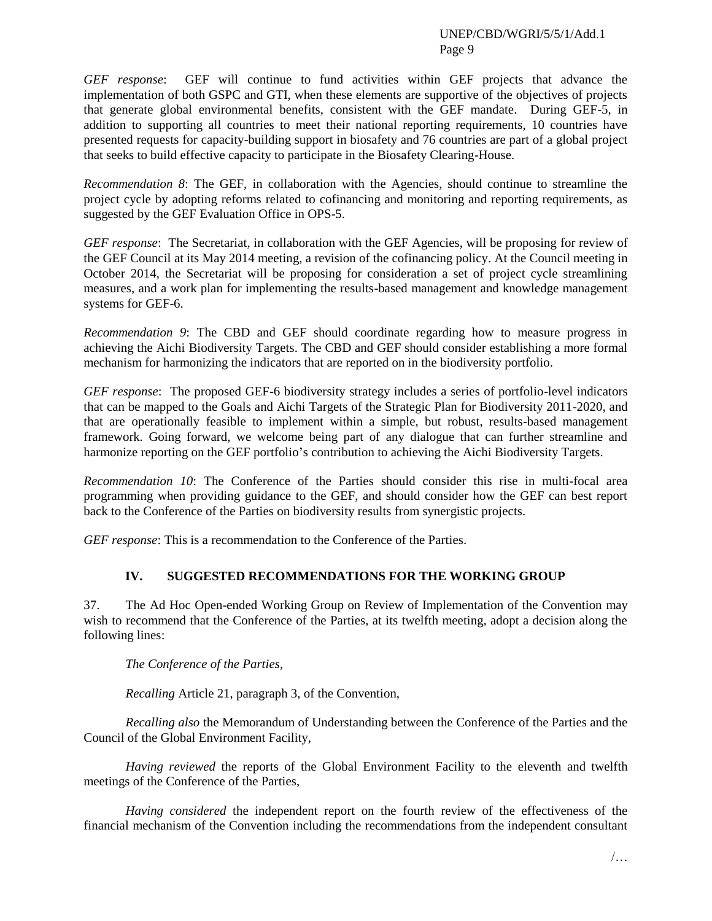*GEF response*: GEF will continue to fund activities within GEF projects that advance the implementation of both GSPC and GTI, when these elements are supportive of the objectives of projects that generate global environmental benefits, consistent with the GEF mandate. During GEF-5, in addition to supporting all countries to meet their national reporting requirements, 10 countries have presented requests for capacity-building support in biosafety and 76 countries are part of a global project that seeks to build effective capacity to participate in the Biosafety Clearing-House.

*Recommendation 8*: The GEF, in collaboration with the Agencies, should continue to streamline the project cycle by adopting reforms related to cofinancing and monitoring and reporting requirements, as suggested by the GEF Evaluation Office in OPS-5.

*GEF response*: The Secretariat, in collaboration with the GEF Agencies, will be proposing for review of the GEF Council at its May 2014 meeting, a revision of the cofinancing policy. At the Council meeting in October 2014, the Secretariat will be proposing for consideration a set of project cycle streamlining measures, and a work plan for implementing the results-based management and knowledge management systems for GEF-6.

*Recommendation 9*: The CBD and GEF should coordinate regarding how to measure progress in achieving the Aichi Biodiversity Targets. The CBD and GEF should consider establishing a more formal mechanism for harmonizing the indicators that are reported on in the biodiversity portfolio.

*GEF response*: The proposed GEF-6 biodiversity strategy includes a series of portfolio-level indicators that can be mapped to the Goals and Aichi Targets of the Strategic Plan for Biodiversity 2011-2020, and that are operationally feasible to implement within a simple, but robust, results-based management framework. Going forward, we welcome being part of any dialogue that can further streamline and harmonize reporting on the GEF portfolio's contribution to achieving the Aichi Biodiversity Targets.

*Recommendation 10*: The Conference of the Parties should consider this rise in multi-focal area programming when providing guidance to the GEF, and should consider how the GEF can best report back to the Conference of the Parties on biodiversity results from synergistic projects.

*GEF response*: This is a recommendation to the Conference of the Parties.

## **IV. SUGGESTED RECOMMENDATIONS FOR THE WORKING GROUP**

37. The Ad Hoc Open-ended Working Group on Review of Implementation of the Convention may wish to recommend that the Conference of the Parties, at its twelfth meeting, adopt a decision along the following lines:

*The Conference of the Parties*,

*Recalling* Article 21, paragraph 3, of the Convention,

*Recalling also* the Memorandum of Understanding between the Conference of the Parties and the Council of the Global Environment Facility,

*Having reviewed* the reports of the Global Environment Facility to the eleventh and twelfth meetings of the Conference of the Parties,

*Having considered* the independent report on the fourth review of the effectiveness of the financial mechanism of the Convention including the recommendations from the independent consultant